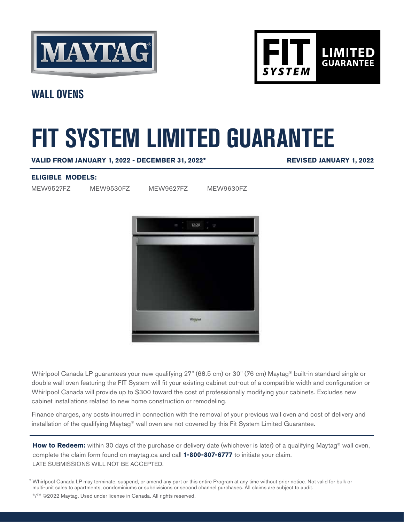



**WALL OVENS**

# **FIT SYSTEM LIMITED GUARANTEE**

**VALID FROM JANUARY 1, 2022 - DECEMBER 31, 2022\***

**REVISED JANUARY 1, 2022**

### **ELIGIBLE MODELS:**

MEW9527FZ MEW9530FZ MEW9627FZ MEW9630FZ



Whirlpool Canada LP guarantees your new qualifying 27" (68.5 cm) or 30" (76 cm) Maytag® built-in standard single or double wall oven featuring the FIT System will fit your existing cabinet cut-out of a compatible width and configuration or Whirlpool Canada will provide up to \$300 toward the cost of professionally modifying your cabinets. Excludes new cabinet installations related to new home construction or remodeling.

Finance charges, any costs incurred in connection with the removal of your previous wall oven and cost of delivery and installation of the qualifying Maytag® wall oven are not covered by this Fit System Limited Guarantee.

How to Redeem: within 30 days of the purchase or delivery date (whichever is later) of a qualifying Maytag<sup>®</sup> wall oven, complete the claim form found on maytag.ca and call **1-800-807-6777** to initiate your claim. LATE SUBMISSIONS WILL NOT BE ACCEPTED.

Whirlpool Canada LP may terminate, suspend, or amend any part or this entire Program at any time without prior notice. Not valid for bulk or \* multi-unit sales to apartments, condominiums or subdivisions or second channel purchases. All claims are subject to audit.

®/™ ©2022 Maytag. Used under license in Canada. All rights reserved.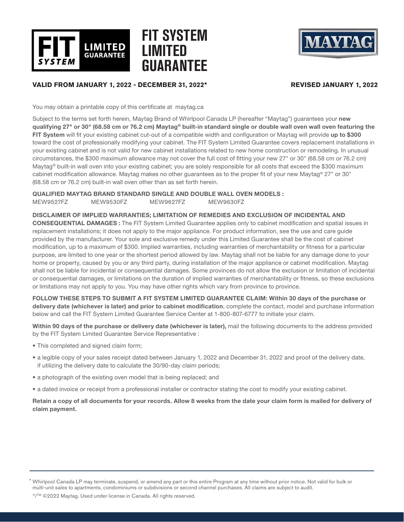

# **FIT SYSTEM LIMITED GUARANTEE**



#### **VALID FROM JANUARY 1, 2022 - DECEMBER 31, 2022\* REVISED JANUARY 1, 2022**

You may obtain a printable copy of this certificate at maytag.ca

Subject to the terms set forth herein, Maytag Brand of Whirlpool Canada LP (hereafter "Maytag") guarantees your new qualifying 27" or 30" (68.58 cm or 76.2 cm) Maytag® built-in standard single or double wall oven wall oven featuring the FIT System will fit your existing cabinet cut-out of a compatible width and configuration or Maytag will provide up to \$300 toward the cost of professionally modifying your cabinet. The FIT System Limited Guarantee covers replacement installations in your existing cabinet and is not valid for new cabinet installations related to new home construction or remodeling. In unusual circumstances, the \$300 maximum allowance may not cover the full cost of fitting your new 27" or 30" (68.58 cm or 76.2 cm) Maytag® built-in wall oven into your existing cabinet; you are solely responsible for all costs that exceed the \$300 maximum cabinet modification allowance. Maytag makes no other guarantees as to the proper fit of your new Maytag® 27" or 30" (68.58 cm or 76.2 cm) built-in wall oven other than as set forth herein.

QUALIFIED MAYTAG BRAND STANDARD SINGLE AND DOUBLE WALL OVEN MODELS :

MEW9527FZ MEW9530FZ MEW9627FZ MEW9630FZ

DISCLAIMER OF IMPLIED WARRANTIES; LIMITATION OF REMEDIES AND EXCLUSION OF INCIDENTAL AND

CONSEQUENTIAL DAMAGES : The FIT System Limited Guarantee applies only to cabinet modification and spatial issues in replacement installations; it does not apply to the major appliance. For product information, see the use and care guide provided by the manufacturer. Your sole and exclusive remedy under this Limited Guarantee shall be the cost of cabinet modification, up to a maximum of \$300. Implied warranties, including warranties of merchantability or fitness for a particular purpose, are limited to one year or the shortest period allowed by law. Maytag shall not be liable for any damage done to your home or property, caused by you or any third party, during installation of the major appliance or cabinet modification. Maytag shall not be liable for incidental or consequential damages. Some provinces do not allow the exclusion or limitation of incidental or consequential damages, or limitations on the duration of implied warranties of merchantability or fitness, so these exclusions or limitations may not apply to you. You may have other rights which vary from province to province.

FOLLOW THESE STEPS TO SUBMIT A FIT SYSTEM LIMITED GUARANTEE CLAIM: Within 30 days of the purchase or delivery date (whichever is later) and prior to cabinet modification, complete the contact, model and purchase information below and call the FIT System Limited Guarantee Service Center at 1-800-807-6777 to initiate your claim.

Within 90 days of the purchase or delivery date (whichever is later), mail the following documents to the address provided by the FIT System Limited Guarantee Service Representative :

- This completed and signed claim form;
- a legible copy of your sales receipt dated between January 1, 2022 and December 31, 2022 and proof of the delivery date, if utilizing the delivery date to calculate the 30/90-day claim periods;
- a photograph of the existing oven model that is being replaced; and
- a dated invoice or receipt from a professional installer or contractor stating the cost to modify your existing cabinet.

Retain a copy of all documents for your records. Allow 8 weeks from the date your claim form is mailed for delivery of claim payment.

Whirlpool Canada LP may terminate, suspend, or amend any part or this entire Program at any time without prior notice. Not valid for bulk or \* multi-unit sales to apartments, condominiums or subdivisions or second channel purchases. All claims are subject to audit.